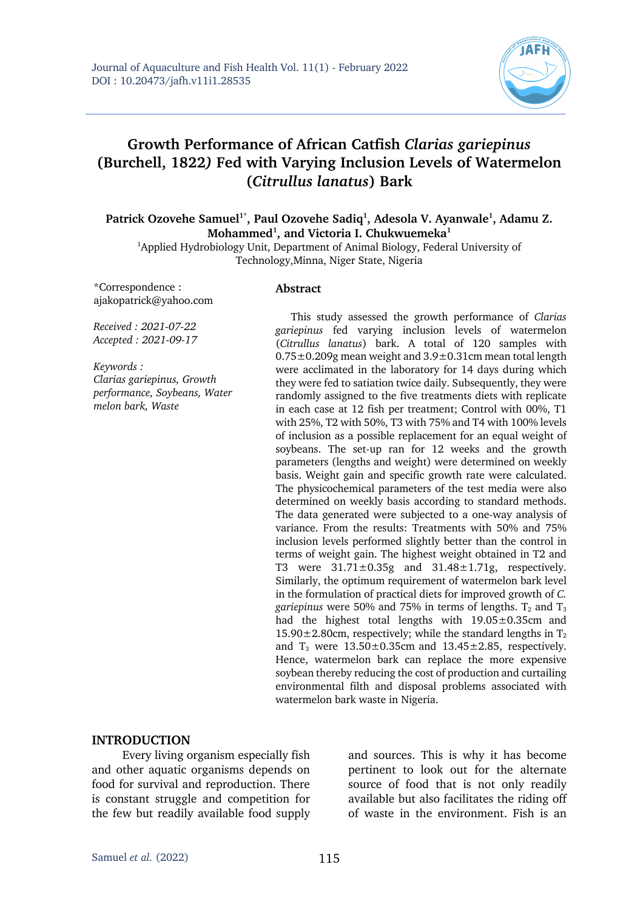

# **Growth Performance of African Catfish** *Clarias gariepinus*  **(Burchell, 1822***)* **Fed with Varying Inclusion Levels of Watermelon (***Citrullus lanatus***) Bark**

Patrick Ozovehe Samuel<sup>1\*</sup>, Paul Ozovehe Sadiq<sup>1</sup>, Adesola V. Ayanwale<sup>1</sup>, Adamu Z. **Mohammed1 , and Victoria I. Chukwuemeka1**

<sup>1</sup>Applied Hydrobiology Unit, Department of Animal Biology, Federal University of Technology,Minna, Niger State, Nigeria

\*Correspondence : ajakopatrick@yahoo.com

#### **Abstract**

*Received : 2021-07-22 Accepted : 2021-09-17*

*Keywords : Clarias gariepinus, Growth performance, Soybeans, Water melon bark, Waste*

This study assessed the growth performance of *Clarias gariepinus* fed varying inclusion levels of watermelon (*Citrullus lanatus*) bark. A total of 120 samples with  $0.75\pm0.209$ g mean weight and  $3.9\pm0.31$ cm mean total length were acclimated in the laboratory for 14 days during which they were fed to satiation twice daily. Subsequently, they were randomly assigned to the five treatments diets with replicate in each case at 12 fish per treatment; Control with 00%, T1 with 25%, T2 with 50%, T3 with 75% and T4 with 100% levels of inclusion as a possible replacement for an equal weight of soybeans. The set-up ran for 12 weeks and the growth parameters (lengths and weight) were determined on weekly basis. Weight gain and specific growth rate were calculated. The physicochemical parameters of the test media were also determined on weekly basis according to standard methods. The data generated were subjected to a one-way analysis of variance. From the results: Treatments with 50% and 75% inclusion levels performed slightly better than the control in terms of weight gain. The highest weight obtained in T2 and T3 were  $31.71 \pm 0.35$ g and  $31.48 \pm 1.71$ g, respectively. Similarly, the optimum requirement of watermelon bark level in the formulation of practical diets for improved growth of *C. gariepinus* were 50% and 75% in terms of lengths.  $T_2$  and  $T_3$ had the highest total lengths with 19.05±0.35cm and 15.90 $\pm$ 2.80cm, respectively; while the standard lengths in T<sub>2</sub> and  $T_3$  were  $13.50 \pm 0.35$ cm and  $13.45 \pm 2.85$ , respectively. Hence, watermelon bark can replace the more expensive soybean thereby reducing the cost of production and curtailing environmental filth and disposal problems associated with watermelon bark waste in Nigeria.

#### **INTRODUCTION**

Every living organism especially fish and other aquatic organisms depends on food for survival and reproduction. There is constant struggle and competition for the few but readily available food supply

and sources. This is why it has become pertinent to look out for the alternate source of food that is not only readily available but also facilitates the riding off of waste in the environment. Fish is an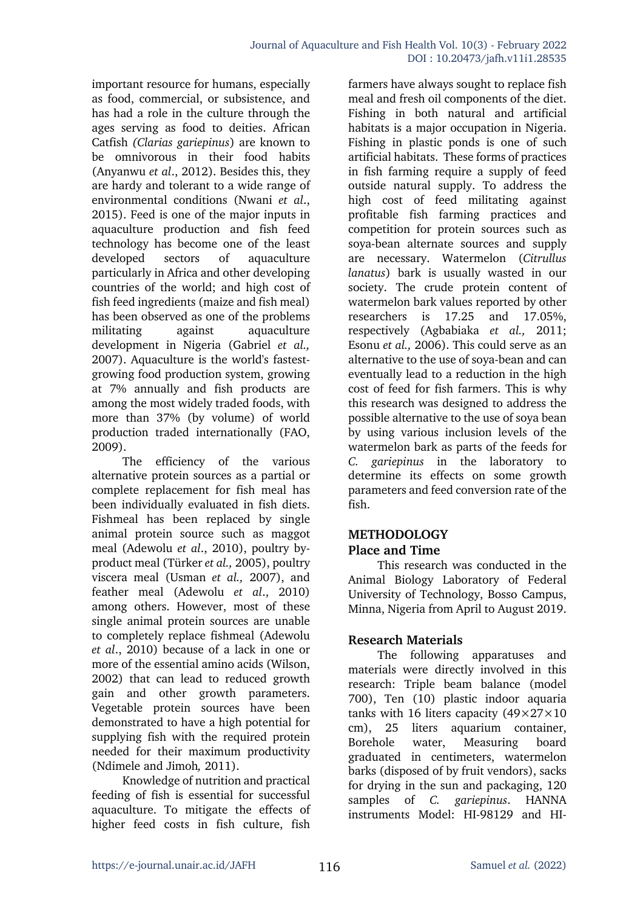important resource for humans, especially as food, commercial, or subsistence, and has had a role in the culture through the ages serving as food to deities. African Catfish *(Clarias gariepinus*) are known to be omnivorous in their food habits (Anyanwu *et al*., 2012). Besides this, they are hardy and tolerant to a wide range of environmental conditions (Nwani *et al*., 2015). Feed is one of the major inputs in aquaculture production and fish feed technology has become one of the least developed sectors of aquaculture particularly in Africa and other developing countries of the world; and high cost of fish feed ingredients (maize and fish meal) has been observed as one of the problems militating against aquaculture development in Nigeria (Gabriel *et al.,* 2007). Aquaculture is the world's fastestgrowing food production system, growing at 7% annually and fish products are among the most widely traded foods, with more than 37% (by volume) of world production traded internationally (FAO, 2009).

The efficiency of the various alternative protein sources as a partial or complete replacement for fish meal has been individually evaluated in fish diets. Fishmeal has been replaced by single animal protein source such as maggot meal (Adewolu *et al*., 2010), poultry byproduct meal (Türker *et al.,* 2005), poultry viscera meal (Usman *et al.,* 2007), and feather meal (Adewolu *et al*., 2010) among others. However, most of these single animal protein sources are unable to completely replace fishmeal (Adewolu *et al*., 2010) because of a lack in one or more of the essential amino acids (Wilson, 2002) that can lead to reduced growth gain and other growth parameters. Vegetable protein sources have been demonstrated to have a high potential for supplying fish with the required protein needed for their maximum productivity (Ndimele and Jimoh*,* 2011).

Knowledge of nutrition and practical feeding of fish is essential for successful aquaculture. To mitigate the effects of higher feed costs in fish culture, fish

farmers have always sought to replace fish meal and fresh oil components of the diet. Fishing in both natural and artificial habitats is a major occupation in Nigeria. Fishing in plastic ponds is one of such artificial habitats. These forms of practices in fish farming require a supply of feed outside natural supply. To address the high cost of feed militating against profitable fish farming practices and competition for protein sources such as soya-bean alternate sources and supply are necessary. Watermelon (*Citrullus lanatus*) bark is usually wasted in our society. The crude protein content of watermelon bark values reported by other researchers is 17.25 and 17.05%, respectively (Agbabiaka *et al.,* 2011; Esonu *et al.,* 2006). This could serve as an alternative to the use of soya-bean and can eventually lead to a reduction in the high cost of feed for fish farmers. This is why this research was designed to address the possible alternative to the use of soya bean by using various inclusion levels of the watermelon bark as parts of the feeds for *C. gariepinus* in the laboratory to determine its effects on some growth parameters and feed conversion rate of the fish.

### **METHODOLOGY Place and Time**

This research was conducted in the Animal Biology Laboratory of Federal University of Technology, Bosso Campus, Minna, Nigeria from April to August 2019.

# **Research Materials**

The following apparatuses and materials were directly involved in this research: Triple beam balance (model 700), Ten (10) plastic indoor aquaria tanks with 16 liters capacity  $(49\times27\times10$ cm), 25 liters aquarium container, Borehole water, Measuring board graduated in centimeters, watermelon barks (disposed of by fruit vendors), sacks for drying in the sun and packaging, 120 samples of *C. gariepinus*. HANNA instruments Model: HI-98129 and HI-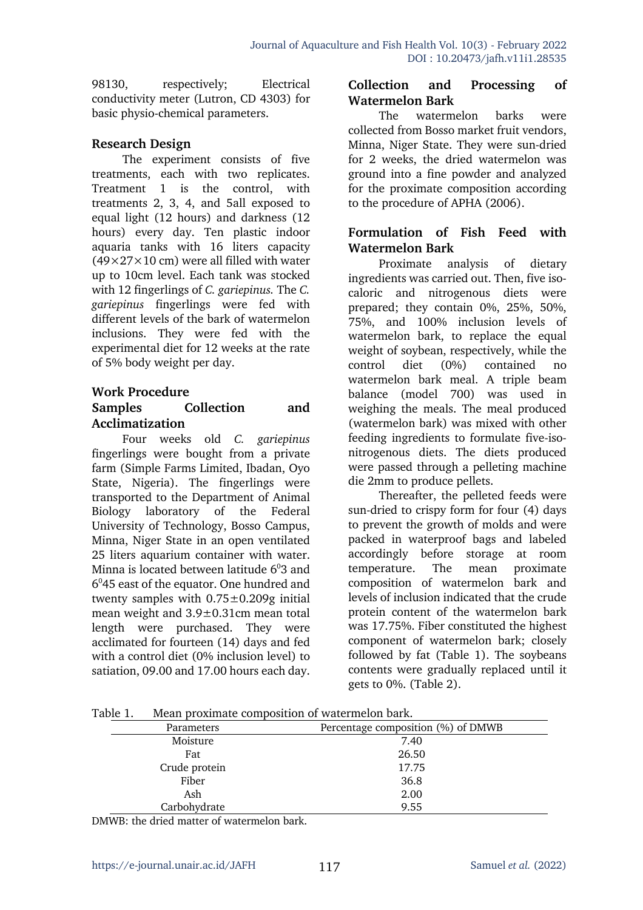98130, respectively; Electrical conductivity meter (Lutron, CD 4303) for basic physio-chemical parameters.

#### **Research Design**

The experiment consists of five treatments, each with two replicates. Treatment 1 is the control, with treatments 2, 3, 4, and 5all exposed to equal light (12 hours) and darkness (12 hours) every day. Ten plastic indoor aquaria tanks with 16 liters capacity  $(49\times27\times10$  cm) were all filled with water up to 10cm level. Each tank was stocked with 12 fingerlings of *C. gariepinus.* The *C. gariepinus* fingerlings were fed with different levels of the bark of watermelon inclusions. They were fed with the experimental diet for 12 weeks at the rate of 5% body weight per day.

#### **Work Procedure**

#### **Samples Collection and Acclimatization**

Four weeks old *C. gariepinus* fingerlings were bought from a private farm (Simple Farms Limited, Ibadan, Oyo State, Nigeria). The fingerlings were transported to the Department of Animal Biology laboratory of the Federal University of Technology, Bosso Campus, Minna, Niger State in an open ventilated 25 liters aquarium container with water. Minna is located between latitude  $6^{\circ}3$  and  $6<sup>0</sup>45$  east of the equator. One hundred and twenty samples with  $0.75\pm0.209g$  initial mean weight and 3.9±0.31cm mean total length were purchased. They were acclimated for fourteen (14) days and fed with a control diet (0% inclusion level) to satiation, 09.00 and 17.00 hours each day.

### **Collection and Processing of Watermelon Bark**

The watermelon barks were collected from Bosso market fruit vendors, Minna, Niger State. They were sun-dried for 2 weeks, the dried watermelon was ground into a fine powder and analyzed for the proximate composition according to the procedure of APHA (2006).

### **Formulation of Fish Feed with Watermelon Bark**

Proximate analysis of dietary ingredients was carried out. Then, five isocaloric and nitrogenous diets were prepared; they contain 0%, 25%, 50%, 75%, and 100% inclusion levels of watermelon bark, to replace the equal weight of soybean, respectively, while the control diet (0%) contained no watermelon bark meal. A triple beam balance (model 700) was used in weighing the meals. The meal produced (watermelon bark) was mixed with other feeding ingredients to formulate five-isonitrogenous diets. The diets produced were passed through a pelleting machine die 2mm to produce pellets.

Thereafter, the pelleted feeds were sun-dried to crispy form for four (4) days to prevent the growth of molds and were packed in waterproof bags and labeled accordingly before storage at room temperature. The mean proximate composition of watermelon bark and levels of inclusion indicated that the crude protein content of the watermelon bark was 17.75%. Fiber constituted the highest component of watermelon bark; closely followed by fat (Table 1). The soybeans contents were gradually replaced until it gets to 0%. (Table 2).

Table 1. Mean proximate composition of watermelon bark.

| Parameters    | Percentage composition (%) of DMWB |
|---------------|------------------------------------|
| Moisture      | 7.40                               |
| Fat           | 26.50                              |
| Crude protein | 17.75                              |
| Fiber         | 36.8                               |
| Ash           | 2.00                               |
| Carbohydrate  | 9.55                               |

DMWB: the dried matter of watermelon bark.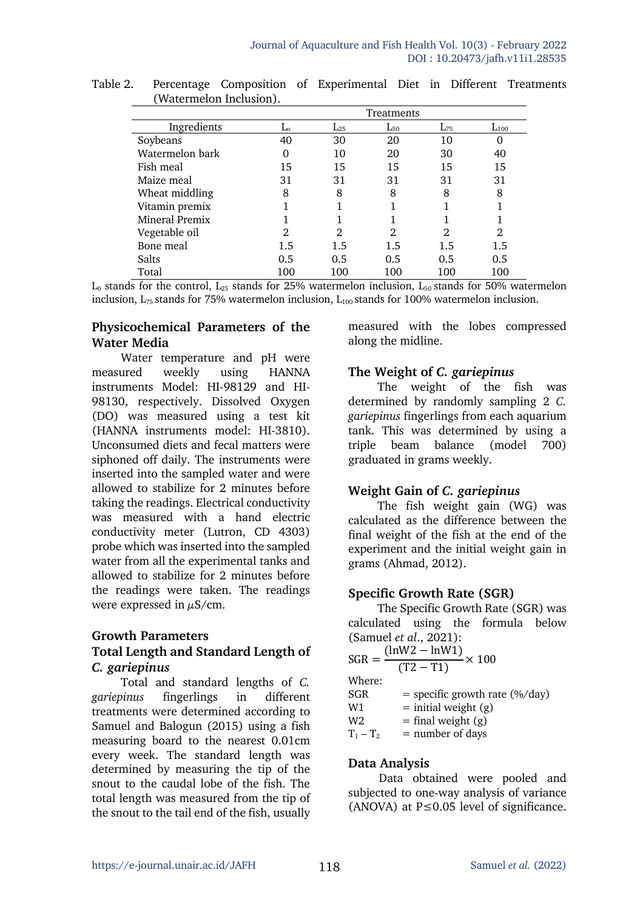|                 | Treatments |          |          |          |           |  |
|-----------------|------------|----------|----------|----------|-----------|--|
| Ingredients     | Lο         | $L_{25}$ | $L_{50}$ | $L_{75}$ | $L_{100}$ |  |
| Soybeans        | 40         | 30       | 20       | 10       | 0         |  |
| Watermelon bark |            | 10       | 20       | 30       | 40        |  |
| Fish meal       | 15         | 15       | 15       | 15       | 15        |  |
| Maize meal      | 31         | 31       | 31       | 31       | 31        |  |
| Wheat middling  | 8          | 8        | 8        | 8        | 8         |  |
| Vitamin premix  |            |          |          |          |           |  |
| Mineral Premix  |            |          |          |          |           |  |
| Vegetable oil   | 2          | 2        | 2        | 2        | 2         |  |
| Bone meal       | 1.5        | 1.5      | 1.5      | 1.5      | 1.5       |  |
| Salts           | 0.5        | 0.5      | 0.5      | 0.5      | 0.5       |  |
| Total           | 100        | 100      | 100      | 100      | 100       |  |

Table 2. Percentage Composition of Experimental Diet in Different Treatments (Watermelon Inclusion).

 $L_0$  stands for the control,  $L_{25}$  stands for 25% watermelon inclusion,  $L_{50}$  stands for 50% watermelon inclusion,  $L_{75}$  stands for 75% watermelon inclusion,  $L_{100}$  stands for 100% watermelon inclusion.

### **Physicochemical Parameters of the Water Media**

Water temperature and pH were measured weekly using HANNA instruments Model: HI-98129 and HI-98130, respectively. Dissolved Oxygen (DO) was measured using a test kit (HANNA instruments model: HI-3810). Unconsumed diets and fecal matters were siphoned off daily. The instruments were inserted into the sampled water and were allowed to stabilize for 2 minutes before taking the readings. Electrical conductivity was measured with a hand electric conductivity meter (Lutron, CD 4303) probe which was inserted into the sampled water from all the experimental tanks and allowed to stabilize for 2 minutes before the readings were taken. The readings were expressed in  $\mu$ S/cm.

### **Growth Parameters**

### **Total Length and Standard Length of**  *C. gariepinus*

Total and standard lengths of *C. gariepinus* fingerlings in different treatments were determined according to Samuel and Balogun (2015) using a fish measuring board to the nearest 0.01cm every week. The standard length was determined by measuring the tip of the snout to the caudal lobe of the fish. The total length was measured from the tip of the snout to the tail end of the fish, usually measured with the lobes compressed along the midline.

### **The Weight of** *C. gariepinus*

The weight of the fish was determined by randomly sampling 2 *C. gariepinus* fingerlings from each aquarium tank. This was determined by using a triple beam balance (model 700) graduated in grams weekly.

# **Weight Gain of** *C. gariepinus*

The fish weight gain (WG) was calculated as the difference between the final weight of the fish at the end of the experiment and the initial weight gain in grams (Ahmad, 2012).

# **Specific Growth Rate (SGR)**

The Specific Growth Rate (SGR) was calculated using the formula below (Samuel *et al*., 2021):

| $\frac{(\ln W2 - \ln W1)}{(T2 - T1)}$<br>$SGR =$<br>$\approx 100$ |  |
|-------------------------------------------------------------------|--|
| Where:                                                            |  |
| SGR<br>$=$ specific growth rate (%/day)                           |  |
| $=$ initial weight $(g)$<br>W1                                    |  |
| $=$ final weight $(g)$<br>W <sub>2</sub>                          |  |
| $=$ number of days<br>$T_1 - T_2$                                 |  |

### **Data Analysis**

Data obtained were pooled and subjected to one-way analysis of variance (ANOVA) at  $P \le 0.05$  level of significance.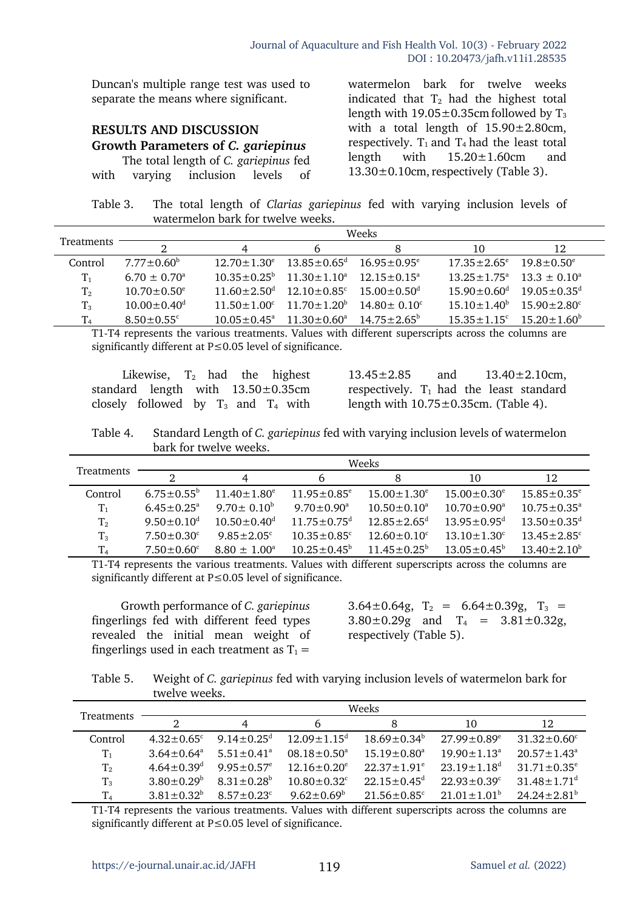Duncan's multiple range test was used to separate the means where significant.

#### **RESULTS AND DISCUSSION Growth Parameters of** *C. gariepinus* The total length of *C. gariepinus* fed

with varying inclusion levels of

watermelon bark for twelve weeks indicated that  $T_2$  had the highest total length with  $19.05 \pm 0.35$ cm followed by T<sub>3</sub> with a total length of  $15.90 \pm 2.80$ cm, respectively.  $T_1$  and  $T_4$  had the least total length with 15.20±1.60cm and  $13.30\pm0.10$ cm, respectively (Table 3).

Table 3. The total length of *Clarias gariepinus* fed with varying inclusion levels of watermelon bark for twelve weeks.

|                | Weeks                        |                        |                                                             |                               |                               |                               |
|----------------|------------------------------|------------------------|-------------------------------------------------------------|-------------------------------|-------------------------------|-------------------------------|
| Treatments     | റ                            | 4                      | b                                                           | 8                             | 10                            | 12                            |
| Control        | $7.77 \pm 0.60^{\circ}$      | $12.70 \pm 1.30^e$     | $13.85\pm0.65^{\rm d}$                                      | $16.95 \pm 0.95^{\circ}$      | $17.35 \pm 2.65^{\circ}$      | $19.8 \pm 0.50^e$             |
| $T_1$          | $6.70 \pm 0.70^{\circ}$      |                        | $10.35 \pm 0.25^{\circ}$ $11.30 \pm 1.10^{\circ}$           | $12.15 + 0.15^a$              | $13.25 \pm 1.75^{\circ}$      | $13.3 \pm 0.10^{\circ}$       |
| T <sub>2</sub> | $10.70 \pm 0.50^e$           |                        | $11.60 \pm 2.50$ <sup>d</sup> $12.10 \pm 0.85$ <sup>c</sup> | $15.00 \pm 0.50$ <sup>d</sup> | $15.90 \pm 0.60$ <sup>d</sup> | $19.05 \pm 0.35$ <sup>d</sup> |
| $T_3$          | $10.00 \pm 0.40^{\rm d}$     | $11.50 + 1.00^{\circ}$ | $11.70 \pm 1.20^b$                                          | $14.80 \pm 0.10^{\circ}$      | $15.10 \pm 1.40^b$            | $15.90 \pm 2.80^{\circ}$      |
| T <sub>4</sub> | $8.50 \pm 0.55$ <sup>c</sup> |                        | $10.05 \pm 0.45^{\text{a}}$ $11.30 \pm 0.60^{\text{a}}$     | $14.75 \pm 2.65^{\circ}$      | $15.35 \pm 1.15^c$            | $15.20 \pm 1.60^{\circ}$      |

T1-T4 represents the various treatments. Values with different superscripts across the columns are significantly different at P≤0.05 level of significance.

Likewise,  $T_2$  had the highest standard length with 13.50±0.35cm closely followed by  $T_3$  and  $T_4$  with

 $13.45 \pm 2.85$  and  $13.40 \pm 2.10$  cm, respectively.  $T_1$  had the least standard length with  $10.75 \pm 0.35$ cm. (Table 4).

Table 4. Standard Length of *C. gariepinus* fed with varying inclusion levels of watermelon bark for twelve weeks.

|                   | Weeks                   |                               |                               |                               |                               |                               |
|-------------------|-------------------------|-------------------------------|-------------------------------|-------------------------------|-------------------------------|-------------------------------|
| <b>Treatments</b> | റ                       | 4                             | b                             |                               | 10                            | 12                            |
| Control           | $6.75 \pm 0.55^{\circ}$ | $11.40 \pm 1.80^e$            | $11.95 \pm 0.85^{\circ}$      | $15.00 \pm 1.30^e$            | $15.00 \pm 0.30^e$            | $15.85 \pm 0.35^e$            |
| $T_{1}$           | $6.45 \pm 0.25^{\circ}$ | $9.70 \pm 0.10^{\circ}$       | $9.70 \pm 0.90^{\text{a}}$    | $10.50 \pm 0.10^a$            | $10.70 \pm 0.90^{\circ}$      | $10.75 \pm 0.35^{\text{a}}$   |
| $T_{2}$           | $9.50 \pm 0.10^{\circ}$ | $10.50 \pm 0.40$ <sup>d</sup> | $11.75 \pm 0.75$ <sup>d</sup> | $12.85 \pm 2.65$ <sup>d</sup> | $13.95 \pm 0.95$ <sup>d</sup> | $13.50 \pm 0.35$ <sup>d</sup> |
| $T_3$             | $7.50 \pm 0.30^{\circ}$ | $9.85 \pm 2.05$ <sup>c</sup>  | $10.35 \pm 0.85$ <sup>c</sup> | $12.60 \pm 0.10^{\circ}$      | $13.10 \pm 1.30^c$            | $13.45 \pm 2.85$ <sup>c</sup> |
| $T_{4}$           | $7.50 \pm 0.60^{\circ}$ | $8.80 \pm 1.00^a$             | $10.25 \pm 0.45^{\circ}$      | $11.45 \pm 0.25^{\circ}$      | $13.05 \pm 0.45^{\circ}$      | $13.40 \pm 2.10^b$            |

T1-T4 represents the various treatments. Values with different superscripts across the columns are significantly different at P≤0.05 level of significance.

Growth performance of *C. gariepinus* fingerlings fed with different feed types revealed the initial mean weight of fingerlings used in each treatment as  $T_1 =$ 

3.64 $\pm$ 0.64g, T<sub>2</sub> = 6.64 $\pm$ 0.39g, T<sub>3</sub> =  $3.80 \pm 0.29$ g and  $T_4 = 3.81 \pm 0.32$ g, respectively (Table 5).

Table 5. Weight of *C. gariepinus* fed with varying inclusion levels of watermelon bark for twelve weeks.

|                | Weeks                        |                              |                               |                               |                               |                               |
|----------------|------------------------------|------------------------------|-------------------------------|-------------------------------|-------------------------------|-------------------------------|
| Treatments     | 2                            |                              | b                             |                               | 10                            | 12                            |
| Control        | $4.32 \pm 0.65$ <sup>c</sup> | $9.14 \pm 0.25$ <sup>d</sup> | $12.09 \pm 1.15$ <sup>d</sup> | $18.69 \pm 0.34^b$            | $27.99 \pm 0.89^e$            | $31.32 \pm 0.60^{\circ}$      |
| $T_1$          | $3.64 \pm 0.64^a$            | $5.51 \pm 0.41$ <sup>a</sup> | $08.18 \pm 0.50^a$            | $15.19 \pm 0.80$ <sup>a</sup> | $19.90 \pm 1.13$ <sup>a</sup> | $20.57 \pm 1.43^{\circ}$      |
| $T_{2}$        | $4.64 \pm 0.39$ <sup>d</sup> | $9.95 \pm 0.57$ <sup>e</sup> | $12.16 \pm 0.20^e$            | $22.37 \pm 1.91^e$            | $23.19 \pm 1.18$ <sup>d</sup> | $31.71 \pm 0.35^{\circ}$      |
| $T_3$          | $3.80 \pm 0.29^b$            | $8.31 \pm 0.28^b$            | $10.80 \pm 0.32$ <sup>c</sup> | $22.15 \pm 0.45$ <sup>d</sup> | $22.93 \pm 0.39^{\circ}$      | $31.48 \pm 1.71$ <sup>d</sup> |
| T <sub>4</sub> | $3.81 \pm 0.32^b$            | $8.57 \pm 0.23$ <sup>c</sup> | $9.62 \pm 0.69^{\circ}$       | $21.56 \pm 0.85$ <sup>c</sup> | $21.01 \pm 1.01^{\circ}$      | $24.24 \pm 2.81$ <sup>b</sup> |

T1-T4 represents the various treatments. Values with different superscripts across the columns are significantly different at P≤0.05 level of significance.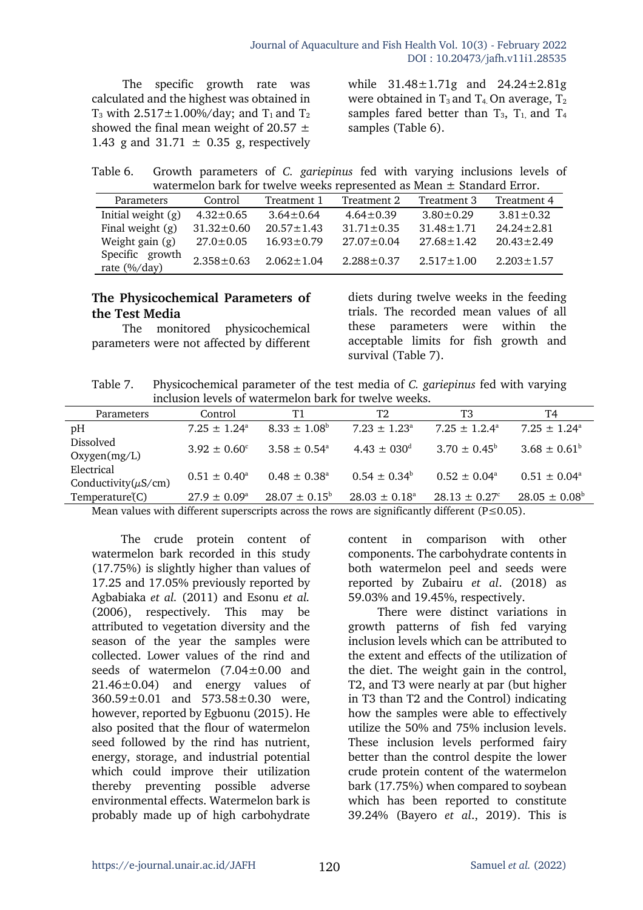The specific growth rate was calculated and the highest was obtained in  $T_3$  with 2.517 $\pm$ 1.00%/day; and  $T_1$  and  $T_2$ showed the final mean weight of 20.57  $\pm$ 1.43 g and  $31.71 \pm 0.35$  g, respectively

while 31.48±1.71g and 24.24±2.81g were obtained in  $T_3$  and  $T_4$ . On average,  $T_2$ samples fared better than  $T_3$ ,  $T_1$  and  $T_4$ samples (Table 6).

Table 6. Growth parameters of *C. gariepinus* fed with varying inclusions levels of watermelon bark for twelve weeks represented as Mean ± Standard Error.

| $\alpha$ watchlictum pair for tweive weeks represented as incall $\pm$ bialuary Error. |                  |                  |                  |                  |                  |  |  |
|----------------------------------------------------------------------------------------|------------------|------------------|------------------|------------------|------------------|--|--|
| Parameters                                                                             | Control          | Treatment 1      | Treatment 2      | Treatment 3      | Treatment 4      |  |  |
| Initial weight (g)                                                                     | $4.32 \pm 0.65$  | $3.64 \pm 0.64$  | $4.64 \pm 0.39$  | $3.80 \pm 0.29$  | $3.81 \pm 0.32$  |  |  |
| Final weight $(g)$                                                                     | $31.32 \pm 0.60$ | $20.57 \pm 1.43$ | $31.71 \pm 0.35$ | $31.48 \pm 1.71$ | $24.24 \pm 2.81$ |  |  |
| Weight gain $(g)$                                                                      | $27.0 \pm 0.05$  | $16.93 \pm 0.79$ | $27.07 \pm 0.04$ | $27.68 \pm 1.42$ | $20.43 \pm 2.49$ |  |  |
| Specific growth<br>rate $(\frac{6}{day})$                                              | $2.358 \pm 0.63$ | $2.062 \pm 1.04$ | $2.288 \pm 0.37$ | $2.517 \pm 1.00$ | $2.203 \pm 1.57$ |  |  |

### **The Physicochemical Parameters of the Test Media**

The monitored physicochemical parameters were not affected by different diets during twelve weeks in the feeding trials. The recorded mean values of all these parameters were within the acceptable limits for fish growth and survival (Table 7).

Table 7. Physicochemical parameter of the test media of *C. gariepinus* fed with varying inclusion levels of watermelon bark for twelve weeks.

| Parameters                              | Control                 | Τ1                       | Т2                          | T3                            | T4                       |  |
|-----------------------------------------|-------------------------|--------------------------|-----------------------------|-------------------------------|--------------------------|--|
| pH                                      | $7.25 \pm 1.24^{\circ}$ | $8.33 \pm 1.08^{\circ}$  | $7.23 \pm 1.23^{\circ}$     | $7.25 \pm 1.2.4^{\circ}$      | $7.25 \pm 1.24^{\circ}$  |  |
| Dissolved<br>Oxygen(mg/L)               | $3.92 \pm 0.60^{\circ}$ | $3.58 \pm 0.54^{\circ}$  | $4.43 \pm 030$ <sup>d</sup> | $3.70 \pm 0.45^{\circ}$       | $3.68 \pm 0.61^b$        |  |
| Electrical<br>Conductivity( $\mu$ S/cm) | $0.51 \pm 0.40^{\circ}$ | $0.48 \pm 0.38^{\circ}$  | $0.54 \pm 0.34^{\circ}$     | $0.52 \pm 0.04^{\circ}$       | $0.51 \pm 0.04^{\circ}$  |  |
| Temperature(C)                          | $27.9 \pm 0.09^{\circ}$ | $28.07 \pm 0.15^{\circ}$ | $28.03 \pm 0.18^{\circ}$    | $28.13 \pm 0.27$ <sup>c</sup> | $28.05 \pm 0.08^{\circ}$ |  |
| $M = 1$ $M = 1$ $M = 1$                 |                         |                          |                             |                               |                          |  |

Mean values with different superscripts across the rows are significantly different ( $P \le 0.05$ ).

The crude protein content of watermelon bark recorded in this study (17.75%) is slightly higher than values of 17.25 and 17.05% previously reported by Agbabiaka *et al.* (2011) and Esonu *et al.*  (2006), respectively. This may be attributed to vegetation diversity and the season of the year the samples were collected. Lower values of the rind and seeds of watermelon (7.04±0.00 and 21.46±0.04) and energy values of 360.59±0.01 and 573.58±0.30 were, however, reported by Egbuonu (2015). He also posited that the flour of watermelon seed followed by the rind has nutrient, energy, storage, and industrial potential which could improve their utilization thereby preventing possible adverse environmental effects. Watermelon bark is probably made up of high carbohydrate

content in comparison with other components. The carbohydrate contents in both watermelon peel and seeds were reported by Zubairu *et al*. (2018) as 59.03% and 19.45%, respectively.

There were distinct variations in growth patterns of fish fed varying inclusion levels which can be attributed to the extent and effects of the utilization of the diet. The weight gain in the control, T2, and T3 were nearly at par (but higher in T3 than T2 and the Control) indicating how the samples were able to effectively utilize the 50% and 75% inclusion levels. These inclusion levels performed fairy better than the control despite the lower crude protein content of the watermelon bark (17.75%) when compared to soybean which has been reported to constitute 39.24% (Bayero *et al*., 2019). This is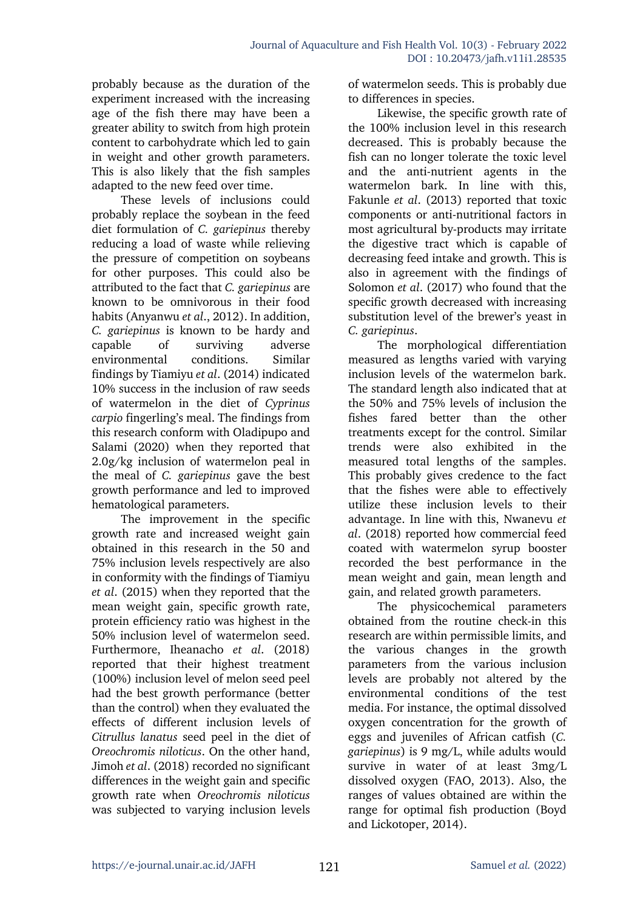probably because as the duration of the experiment increased with the increasing age of the fish there may have been a greater ability to switch from high protein content to carbohydrate which led to gain in weight and other growth parameters. This is also likely that the fish samples adapted to the new feed over time.

These levels of inclusions could probably replace the soybean in the feed diet formulation of *C. gariepinus* thereby reducing a load of waste while relieving the pressure of competition on soybeans for other purposes. This could also be attributed to the fact that *C. gariepinus* are known to be omnivorous in their food habits (Anyanwu *et al*., 2012). In addition, *C. gariepinus* is known to be hardy and capable of surviving adverse environmental conditions. Similar findings by Tiamiyu *et al*. (2014) indicated 10% success in the inclusion of raw seeds of watermelon in the diet of *Cyprinus carpio* fingerling's meal. The findings from this research conform with Oladipupo and Salami (2020) when they reported that 2.0g/kg inclusion of watermelon peal in the meal of *C. gariepinus* gave the best growth performance and led to improved hematological parameters.

The improvement in the specific growth rate and increased weight gain obtained in this research in the 50 and 75% inclusion levels respectively are also in conformity with the findings of Tiamiyu *et al*. (2015) when they reported that the mean weight gain, specific growth rate, protein efficiency ratio was highest in the 50% inclusion level of watermelon seed. Furthermore, Iheanacho *et al*. (2018) reported that their highest treatment (100%) inclusion level of melon seed peel had the best growth performance (better than the control) when they evaluated the effects of different inclusion levels of *Citrullus lanatus* seed peel in the diet of *Oreochromis niloticus*. On the other hand, Jimoh *et al*. (2018) recorded no significant differences in the weight gain and specific growth rate when *Oreochromis niloticus* was subjected to varying inclusion levels

of watermelon seeds. This is probably due to differences in species.

Likewise, the specific growth rate of the 100% inclusion level in this research decreased. This is probably because the fish can no longer tolerate the toxic level and the anti-nutrient agents in the watermelon bark. In line with this, Fakunle *et al*. (2013) reported that toxic components or anti-nutritional factors in most agricultural by-products may irritate the digestive tract which is capable of decreasing feed intake and growth. This is also in agreement with the findings of Solomon *et al*. (2017) who found that the specific growth decreased with increasing substitution level of the brewer's yeast in *C. gariepinus*.

The morphological differentiation measured as lengths varied with varying inclusion levels of the watermelon bark. The standard length also indicated that at the 50% and 75% levels of inclusion the fishes fared better than the other treatments except for the control. Similar trends were also exhibited in the measured total lengths of the samples. This probably gives credence to the fact that the fishes were able to effectively utilize these inclusion levels to their advantage. In line with this, Nwanevu *et al*. (2018) reported how commercial feed coated with watermelon syrup booster recorded the best performance in the mean weight and gain, mean length and gain, and related growth parameters.

The physicochemical parameters obtained from the routine check-in this research are within permissible limits, and the various changes in the growth parameters from the various inclusion levels are probably not altered by the environmental conditions of the test media. For instance, the optimal dissolved oxygen concentration for the growth of eggs and juveniles of African catfish (*C. gariepinus*) is 9 mg/L, while adults would survive in water of at least 3mg/L dissolved oxygen (FAO, 2013). Also, the ranges of values obtained are within the range for optimal fish production (Boyd and Lickotoper, 2014).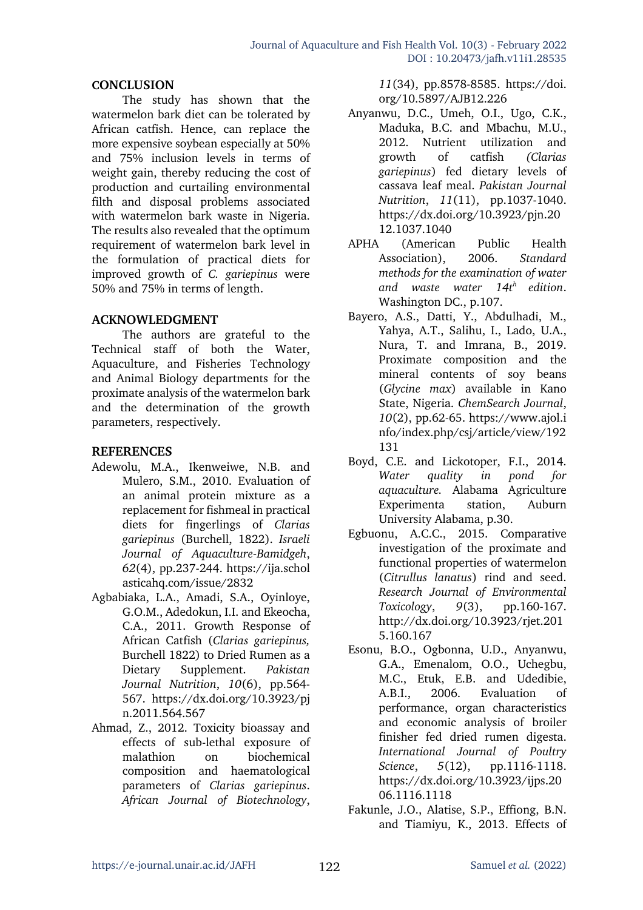#### **CONCLUSION**

The study has shown that the watermelon bark diet can be tolerated by African catfish. Hence, can replace the more expensive soybean especially at 50% and 75% inclusion levels in terms of weight gain, thereby reducing the cost of production and curtailing environmental filth and disposal problems associated with watermelon bark waste in Nigeria. The results also revealed that the optimum requirement of watermelon bark level in the formulation of practical diets for improved growth of *C. gariepinus* were 50% and 75% in terms of length.

#### **ACKNOWLEDGMENT**

The authors are grateful to the Technical staff of both the Water, Aquaculture, and Fisheries Technology and Animal Biology departments for the proximate analysis of the watermelon bark and the determination of the growth parameters, respectively.

#### **REFERENCES**

- Adewolu, M.A., Ikenweiwe, N.B. and Mulero, S.M., 2010. Evaluation of an animal protein mixture as a replacement for fishmeal in practical diets for fingerlings of *Clarias gariepinus* (Burchell, 1822). *Israeli Journal of Aquaculture-Bamidgeh*, *62*(4), pp.237-244. https://ija.schol asticahq.com/issue/2832
- Agbabiaka, L.A., Amadi, S.A., Oyinloye, G.O.M., Adedokun, I.I. and Ekeocha, C.A., 2011. Growth Response of African Catfish (*Clarias gariepinus,*  Burchell 1822) to Dried Rumen as a Dietary Supplement. *Pakistan Journal Nutrition*, *10*(6), pp.564- 567. https://dx.doi.org/10.3923/pj n.2011.564.567
- Ahmad, Z., 2012. Toxicity bioassay and effects of sub-lethal exposure of malathion on biochemical composition and haematological parameters of *Clarias gariepinus*. *African Journal of Biotechnology*,

*11*(34), pp.8578-8585. https://doi. org/10.5897/AJB12.226

- Anyanwu, D.C., Umeh, O.I., Ugo, C.K., Maduka, B.C. and Mbachu, M.U., 2012. Nutrient utilization and growth of catfish *(Clarias gariepinus*) fed dietary levels of cassava leaf meal. *Pakistan Journal Nutrition*, *11*(11), pp.1037-1040. https://dx.doi.org/10.3923/pjn.20 12.1037.1040
- APHA (American Public Health Association), 2006. *Standard methods for the examination of water and waste water 14th edition*. Washington DC., p.107.
- Bayero, A.S., Datti, Y., Abdulhadi, M., Yahya, A.T., Salihu, I., Lado, U.A., Nura, T. and Imrana, B., 2019. Proximate composition and the mineral contents of soy beans (*Glycine max*) available in Kano State, Nigeria. *ChemSearch Journal*, *10*(2), pp.62-65. https://www.ajol.i nfo/index.php/csj/article/view/192 131
- Boyd, C.E. and Lickotoper, F.I., 2014. *Water quality in pond for aquaculture.* Alabama Agriculture Experimenta station, Auburn University Alabama, p.30.
- Egbuonu, A.C.C., 2015. Comparative investigation of the proximate and functional properties of watermelon (*Citrullus lanatus*) rind and seed. *Research Journal of Environmental Toxicology*, *9*(3), pp.160-167. http://dx.doi.org/10.3923/rjet.201 5.160.167
- Esonu, B.O., Ogbonna, U.D., Anyanwu, G.A., Emenalom, O.O., Uchegbu, M.C., Etuk, E.B. and Udedibie, A.B.I., 2006. Evaluation of performance, organ characteristics and economic analysis of broiler finisher fed dried rumen digesta. *International Journal of Poultry Science*, *5*(12), pp.1116-1118. https://dx.doi.org/10.3923/ijps.20 06.1116.1118
- Fakunle, J.O., Alatise, S.P., Effiong, B.N. and Tiamiyu, K., 2013. Effects of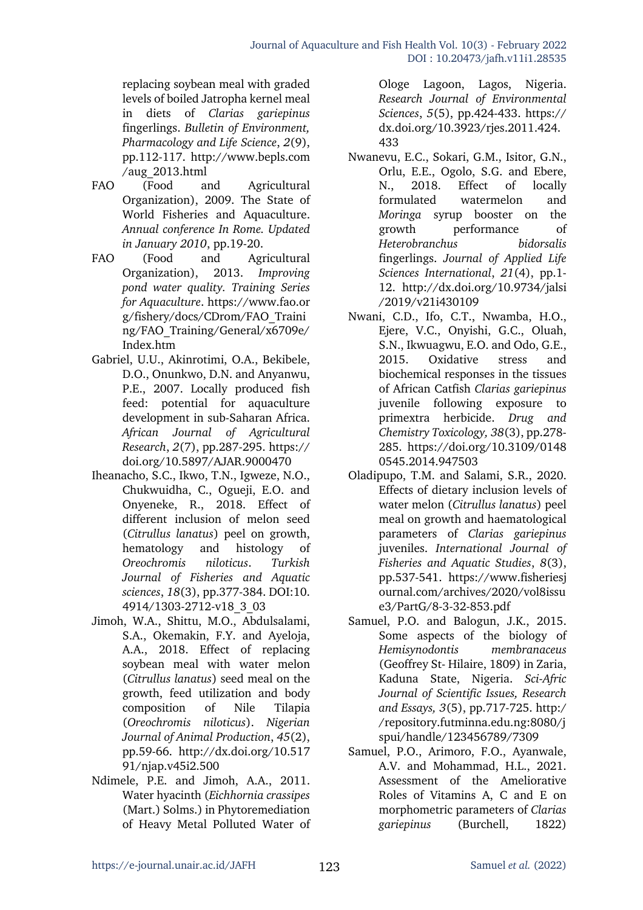replacing soybean meal with graded levels of boiled Jatropha kernel meal in diets of *Clarias gariepinus* fingerlings. *Bulletin of Environment, Pharmacology and Life Science*, *2*(9), pp.112-117. http://www.bepls.com /aug\_2013.html

- FAO (Food and Agricultural Organization), 2009. The State of World Fisheries and Aquaculture. *Annual conference In Rome. Updated in January 2010*, pp.19-20.
- FAO (Food and Agricultural Organization), 2013. *Improving pond water quality. Training Series for Aquaculture*. https://www.fao.or g/fishery/docs/CDrom/FAO\_Traini ng/FAO\_Training/General/x6709e/ Index.htm
- Gabriel, U.U., Akinrotimi, O.A., Bekibele, D.O., Onunkwo, D.N. and Anyanwu, P.E., 2007. Locally produced fish feed: potential for aquaculture development in sub-Saharan Africa. *African Journal of Agricultural Research*, *2*(7), pp.287-295. https:// doi.org/10.5897/AJAR.9000470
- Iheanacho, S.C., Ikwo, T.N., Igweze, N.O., Chukwuidha, C., Ogueji, E.O. and Onyeneke, R., 2018. Effect of different inclusion of melon seed (*Citrullus lanatus*) peel on growth, hematology and histology of *Oreochromis niloticus*. *Turkish Journal of Fisheries and Aquatic sciences*, *18*(3), pp.377-384. DOI:10. 4914/1303-2712-v18\_3\_03
- Jimoh, W.A., Shittu, M.O., Abdulsalami, S.A., Okemakin, F.Y. and Ayeloja, A.A., 2018. Effect of replacing soybean meal with water melon (*Citrullus lanatus*) seed meal on the growth, feed utilization and body composition of Nile Tilapia (*Oreochromis niloticus*). *Nigerian Journal of Animal Production*, *45*(2), pp.59-66. http://dx.doi.org/10.517 91/njap.v45i2.500
- Ndimele, P.E. and Jimoh, A.A., 2011. Water hyacinth (*Eichhornia crassipes*  (Mart.) Solms.) in Phytoremediation of Heavy Metal Polluted Water of

Ologe Lagoon, Lagos, Nigeria. *Research Journal of Environmental Sciences*, *5*(5), pp.424-433. https:// dx.doi.org/10.3923/rjes.2011.424. 433

- Nwanevu, E.C., Sokari, G.M., Isitor, G.N., Orlu, E.E., Ogolo, S.G. and Ebere, N., 2018. Effect of locally formulated watermelon and *Moringa* syrup booster on the growth performance of *Heterobranchus bidorsalis* fingerlings. *Journal of Applied Life Sciences International*, *21*(4), pp.1- 12. http://dx.doi.org/10.9734/jalsi /2019/v21i430109
- Nwani, C.D., Ifo, C.T., Nwamba, H.O., Ejere, V.C., Onyishi, G.C., Oluah, S.N., Ikwuagwu, E.O. and Odo, G.E., 2015. Oxidative stress and biochemical responses in the tissues of African Catfish *Clarias gariepinus*  juvenile following exposure to primextra herbicide. *Drug and Chemistry Toxicology, 38*(3), pp.278- 285. https://doi.org/10.3109/0148 0545.2014.947503
- Oladipupo, T.M. and Salami, S.R., 2020. Effects of dietary inclusion levels of water melon (*Citrullus lanatus*) peel meal on growth and haematological parameters of *Clarias gariepinus* juveniles. *International Journal of Fisheries and Aquatic Studies*, *8*(3), pp.537-541. https://www.fisheriesj ournal.com/archives/2020/vol8issu e3/PartG/8-3-32-853.pdf
- Samuel, P.O. and Balogun, J.K., 2015. Some aspects of the biology of *Hemisynodontis membranaceus* (Geoffrey St- Hilaire, 1809) in Zaria, Kaduna State, Nigeria. *Sci-Afric Journal of Scientific Issues, Research and Essays, 3*(5), pp.717-725. http:/ /repository.futminna.edu.ng:8080/j spui/handle/123456789/7309
- Samuel, P.O., Arimoro, F.O., Ayanwale, A.V. and Mohammad, H.L., 2021. Assessment of the Ameliorative Roles of Vitamins A, C and E on morphometric parameters of *Clarias gariepinus* (Burchell, 1822)